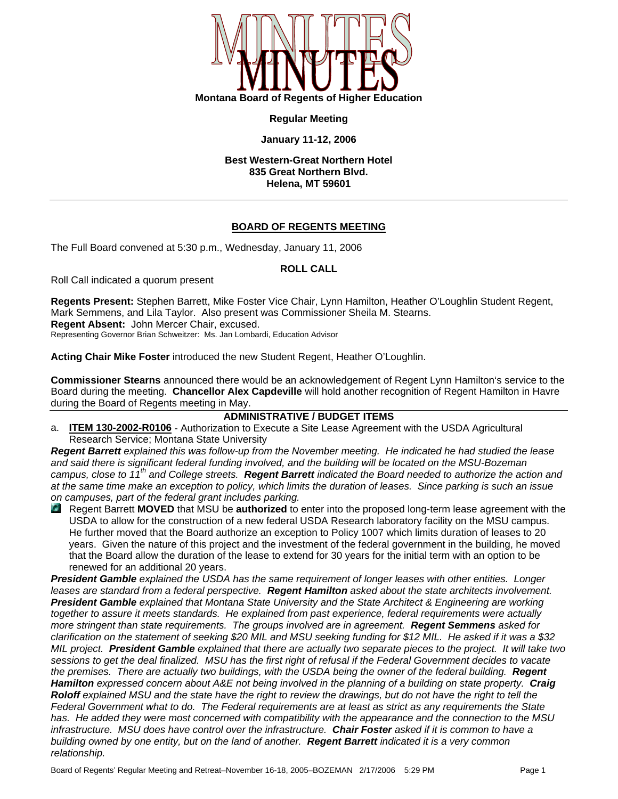

**Regular Meeting** 

## **January 11-12, 2006**

**Best Western-Great Northern Hotel 835 Great Northern Blvd. Helena, MT 59601** 

# **BOARD OF REGENTS MEETING**

The Full Board convened at 5:30 p.m., Wednesday, January 11, 2006

# **ROLL CALL**

Roll Call indicated a quorum present

**Regents Present:** Stephen Barrett, Mike Foster Vice Chair, Lynn Hamilton, Heather O'Loughlin Student Regent, Mark Semmens, and Lila Taylor. Also present was Commissioner Sheila M. Stearns. **Regent Absent:** John Mercer Chair, excused. Representing Governor Brian Schweitzer: Ms. Jan Lombardi, Education Advisor

**Acting Chair Mike Foster** introduced the new Student Regent, Heather O'Loughlin.

**Commissioner Stearns** announced there would be an acknowledgement of Regent Lynn Hamilton's service to the Board during the meeting. **Chancellor Alex Capdeville** will hold another recognition of Regent Hamilton in Havre during the Board of Regents meeting in May.

## **ADMINISTRATIVE / BUDGET ITEMS**

a. **ITEM 130-2002-R0106** - Authorization to Execute a Site Lease Agreement with the USDA Agricultural Research Service; Montana State University

*Regent Barrett explained this was follow-up from the November meeting. He indicated he had studied the lease and said there is significant federal funding involved, and the building will be located on the MSU-Bozeman campus, close to 11th and College streets. Regent Barrett indicated the Board needed to authorize the action and at the same time make an exception to policy, which limits the duration of leases. Since parking is such an issue on campuses, part of the federal grant includes parking.* 

 Regent Barrett **MOVED** that MSU be **authorized** to enter into the proposed long-term lease agreement with the USDA to allow for the construction of a new federal USDA Research laboratory facility on the MSU campus. He further moved that the Board authorize an exception to Policy 1007 which limits duration of leases to 20 years. Given the nature of this project and the investment of the federal government in the building, he moved that the Board allow the duration of the lease to extend for 30 years for the initial term with an option to be renewed for an additional 20 years.

*President Gamble explained the USDA has the same requirement of longer leases with other entities. Longer leases are standard from a federal perspective. Regent Hamilton asked about the state architects involvement. President Gamble explained that Montana State University and the State Architect & Engineering are working together to assure it meets standards. He explained from past experience, federal requirements were actually more stringent than state requirements. The groups involved are in agreement. Regent Semmens asked for clarification on the statement of seeking \$20 MIL and MSU seeking funding for \$12 MIL. He asked if it was a \$32 MIL project. President Gamble explained that there are actually two separate pieces to the project. It will take two sessions to get the deal finalized. MSU has the first right of refusal if the Federal Government decides to vacate the premises. There are actually two buildings, with the USDA being the owner of the federal building. Regent Hamilton expressed concern about A&E not being involved in the planning of a building on state property. Craig Roloff explained MSU and the state have the right to review the drawings, but do not have the right to tell the Federal Government what to do. The Federal requirements are at least as strict as any requirements the State has. He added they were most concerned with compatibility with the appearance and the connection to the MSU infrastructure. MSU does have control over the infrastructure. Chair Foster asked if it is common to have a building owned by one entity, but on the land of another. Regent Barrett indicated it is a very common relationship.*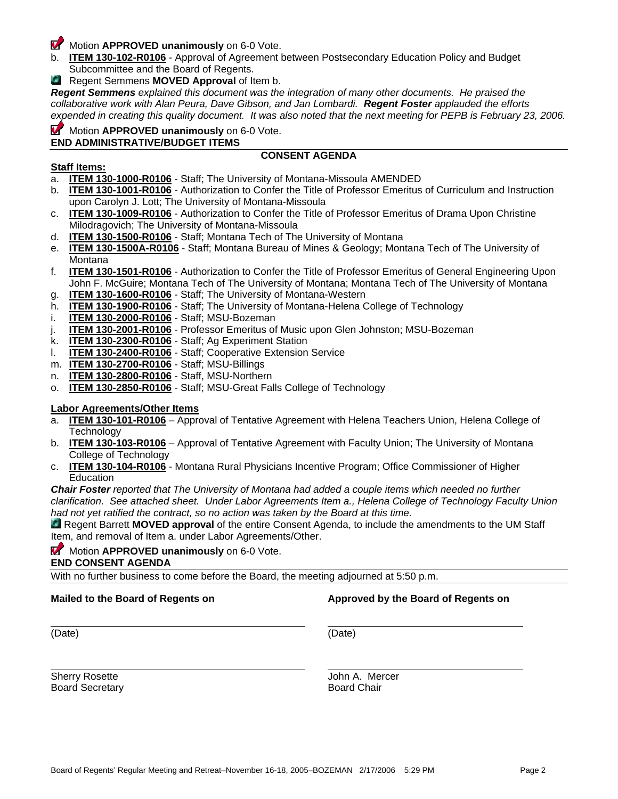Board of Regents' Regular Meeting and Retreat–November 16-18, 2005–BOZEMAN 2/17/2006 5:29 PM Page 2

# **Motion APPROVED unanimously** on 6-0 Vote.

- b. **ITEM 130-102-R0106** Approval of Agreement between Postsecondary Education Policy and Budget Subcommittee and the Board of Regents.
- **C** Regent Semmens **MOVED** Approval of Item b.

*Regent Semmens explained this document was the integration of many other documents. He praised the collaborative work with Alan Peura, Dave Gibson, and Jan Lombardi. Regent Foster applauded the efforts expended in creating this quality document. It was also noted that the next meeting for PEPB is February 23, 2006.* 

### **Motion APPROVED unanimously** on 6-0 Vote. **END ADMINISTRATIVE/BUDGET ITEMS**

# **CONSENT AGENDA**

# **Staff Items:**

- a. **ITEM 130-1000-R0106** Staff; The University of Montana-Missoula AMENDED
- b. **ITEM 130-1001-R0106** Authorization to Confer the Title of Professor Emeritus of Curriculum and Instruction upon Carolyn J. Lott; The University of Montana-Missoula
- c. **ITEM 130-1009-R0106** Authorization to Confer the Title of Professor Emeritus of Drama Upon Christine Milodragovich; The University of Montana-Missoula
- d. **ITEM 130-1500-R0106** Staff; Montana Tech of The University of Montana
- e. **ITEM 130-1500A-R0106** Staff; Montana Bureau of Mines & Geology; Montana Tech of The University of Montana
- f. **ITEM 130-1501-R0106** Authorization to Confer the Title of Professor Emeritus of General Engineering Upon John F. McGuire; Montana Tech of The University of Montana; Montana Tech of The University of Montana
- g. **ITEM 130-1600-R0106** Staff; The University of Montana-Western
- h. **ITEM 130-1900-R0106** Staff; The University of Montana-Helena College of Technology
- i. **ITEM 130-2000-R0106** Staff; MSU-Bozeman
- j. **ITEM 130-2001-R0106** Professor Emeritus of Music upon Glen Johnston; MSU-Bozeman
- k. **ITEM 130-2300-R0106** Staff; Ag Experiment Station
- l. **ITEM 130-2400-R0106** Staff; Cooperative Extension Service
- m. **ITEM 130-2700-R0106** Staff; MSU-Billings
- n. **ITEM 130-2800-R0106** Staff, MSU-Northern
- o. **ITEM 130-2850-R0106** Staff; MSU-Great Falls College of Technology

# **Labor Agreements/Other Items**

- a. **ITEM 130-101-R0106** Approval of Tentative Agreement with Helena Teachers Union, Helena College of Technology
- b. **ITEM 130-103-R0106** Approval of Tentative Agreement with Faculty Union; The University of Montana College of Technology
- c. **ITEM 130-104-R0106** Montana Rural Physicians Incentive Program; Office Commissioner of Higher **Education**

*Chair Foster reported that The University of Montana had added a couple items which needed no further clarification. See attached sheet. Under Labor Agreements Item a., Helena College of Technology Faculty Union had not yet ratified the contract, so no action was taken by the Board at this time.* 

Regent Barrett **MOVED approval** of the entire Consent Agenda, to include the amendments to the UM Staff Item, and removal of Item a. under Labor Agreements/Other.

## **Motion APPROVED unanimously** on 6-0 Vote.

# **END CONSENT AGENDA**

With no further business to come before the Board, the meeting adjourned at 5:50 p.m.

Sherry Rosette **Grades** Sherry Rosette **John A. Mercer** Board Secretary **Board Chair** 

**Mailed to the Board of Regents on <b>Approved by the Board of Regents on** 

(Date) (Date)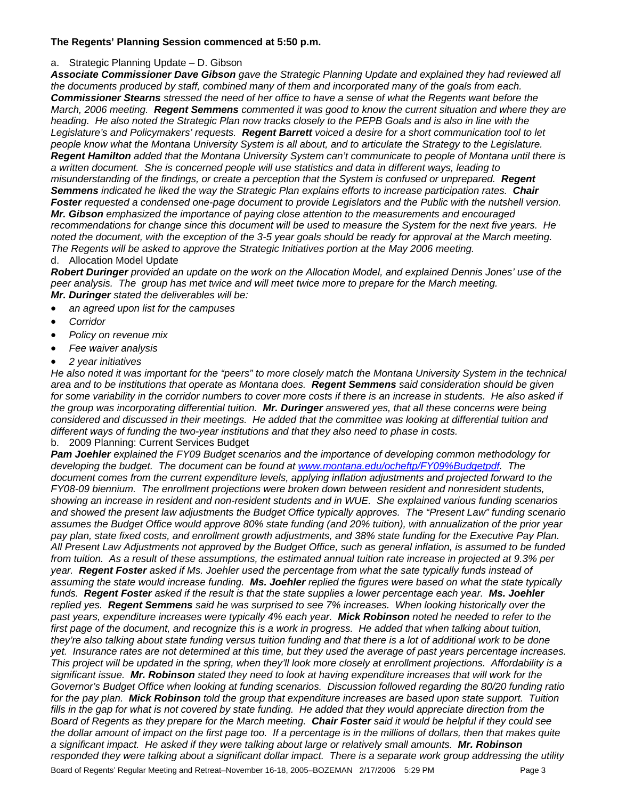## **The Regents' Planning Session commenced at 5:50 p.m.**

## a. Strategic Planning Update – D. Gibson

*Associate Commissioner Dave Gibson gave the Strategic Planning Update and explained they had reviewed all the documents produced by staff, combined many of them and incorporated many of the goals from each. Commissioner Stearns stressed the need of her office to have a sense of what the Regents want before the March, 2006 meeting. Regent Semmens commented it was good to know the current situation and where they are heading. He also noted the Strategic Plan now tracks closely to the PEPB Goals and is also in line with the Legislature's and Policymakers' requests. Regent Barrett voiced a desire for a short communication tool to let people know what the Montana University System is all about, and to articulate the Strategy to the Legislature. Regent Hamilton added that the Montana University System can't communicate to people of Montana until there is a written document. She is concerned people will use statistics and data in different ways, leading to misunderstanding of the findings, or create a perception that the System is confused or unprepared. Regent Semmens indicated he liked the way the Strategic Plan explains efforts to increase participation rates. Chair Foster requested a condensed one-page document to provide Legislators and the Public with the nutshell version. Mr. Gibson emphasized the importance of paying close attention to the measurements and encouraged recommendations for change since this document will be used to measure the System for the next five years. He noted the document, with the exception of the 3-5 year goals should be ready for approval at the March meeting. The Regents will be asked to approve the Strategic Initiatives portion at the May 2006 meeting.* 

### d. Allocation Model Update

*Robert Duringer provided an update on the work on the Allocation Model, and explained Dennis Jones' use of the peer analysis. The group has met twice and will meet twice more to prepare for the March meeting. Mr. Duringer stated the deliverables will be:* 

- *an agreed upon list for the campuses*
- *Corridor*
- *Policy on revenue mix*
- *Fee waiver analysis*
- *2 year initiatives*

*He also noted it was important for the "peers" to more closely match the Montana University System in the technical area and to be institutions that operate as Montana does. Regent Semmens said consideration should be given*  for some variability in the corridor numbers to cover more costs if there is an increase in students. He also asked if *the group was incorporating differential tuition. Mr. Duringer answered yes, that all these concerns were being considered and discussed in their meetings. He added that the committee was looking at differential tuition and different ways of funding the two-year institutions and that they also need to phase in costs.* 

b. 2009 Planning: Current Services Budget

Board of Regents' Regular Meeting and Retreat–November 16-18, 2005–BOZEMAN 2/17/2006 5:29 PM Page 3 *Pam Joehler explained the FY09 Budget scenarios and the importance of developing common methodology for developing the budget. The document can be found at www.montana.edu/ocheftp/FY09%Budgetpdf. The document comes from the current expenditure levels, applying inflation adjustments and projected forward to the FY08-09 biennium. The enrollment projections were broken down between resident and nonresident students, showing an increase in resident and non-resident students and in WUE. She explained various funding scenarios and showed the present law adjustments the Budget Office typically approves. The "Present Law" funding scenario assumes the Budget Office would approve 80% state funding (and 20% tuition), with annualization of the prior year pay plan, state fixed costs, and enrollment growth adjustments, and 38% state funding for the Executive Pay Plan. All Present Law Adjustments not approved by the Budget Office, such as general inflation, is assumed to be funded from tuition. As a result of these assumptions, the estimated annual tuition rate increase in projected at 9.3% per year. Regent Foster asked if Ms. Joehler used the percentage from what the sate typically funds instead of assuming the state would increase funding. Ms. Joehler replied the figures were based on what the state typically funds. Regent Foster asked if the result is that the state supplies a lower percentage each year. Ms. Joehler replied yes. Regent Semmens said he was surprised to see 7% increases. When looking historically over the past years, expenditure increases were typically 4% each year. Mick Robinson noted he needed to refer to the*  first page of the document, and recognize this is a work in progress. He added that when talking about tuition, *they're also talking about state funding versus tuition funding and that there is a lot of additional work to be done yet. Insurance rates are not determined at this time, but they used the average of past years percentage increases. This project will be updated in the spring, when they'll look more closely at enrollment projections. Affordability is a significant issue. Mr. Robinson stated they need to look at having expenditure increases that will work for the Governor's Budget Office when looking at funding scenarios. Discussion followed regarding the 80/20 funding ratio for the pay plan. Mick Robinson told the group that expenditure increases are based upon state support. Tuition*  fills in the gap for what is not covered by state funding. He added that they would appreciate direction from the *Board of Regents as they prepare for the March meeting. Chair Foster said it would be helpful if they could see the dollar amount of impact on the first page too. If a percentage is in the millions of dollars, then that makes quite a significant impact. He asked if they were talking about large or relatively small amounts. Mr. Robinson responded they were talking about a significant dollar impact. There is a separate work group addressing the utility*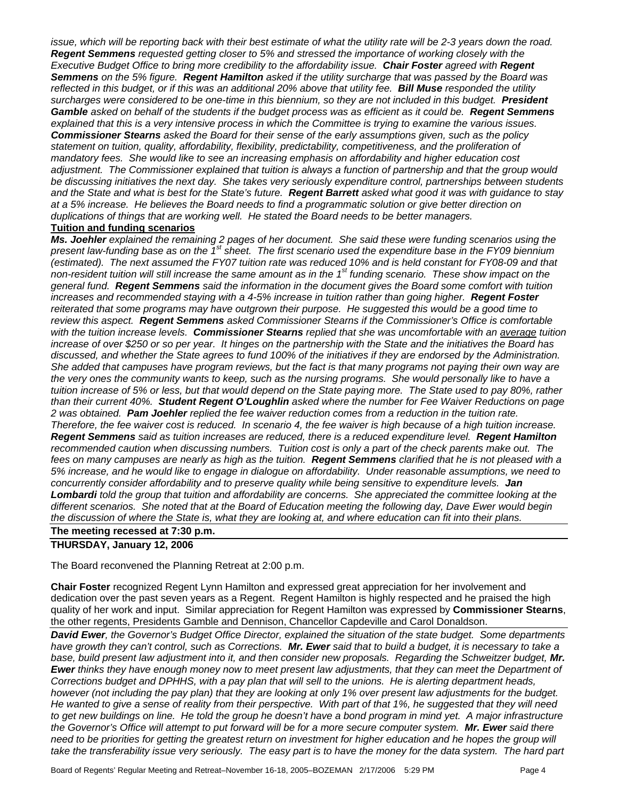*issue, which will be reporting back with their best estimate of what the utility rate will be 2-3 years down the road. Regent Semmens requested getting closer to 5% and stressed the importance of working closely with the Executive Budget Office to bring more credibility to the affordability issue. Chair Foster agreed with Regent Semmens on the 5% figure. Regent Hamilton asked if the utility surcharge that was passed by the Board was reflected in this budget, or if this was an additional 20% above that utility fee. Bill Muse responded the utility surcharges were considered to be one-time in this biennium, so they are not included in this budget. President Gamble asked on behalf of the students if the budget process was as efficient as it could be. Regent Semmens explained that this is a very intensive process in which the Committee is trying to examine the various issues. Commissioner Stearns asked the Board for their sense of the early assumptions given, such as the policy statement on tuition, quality, affordability, flexibility, predictability, competitiveness, and the proliferation of mandatory fees. She would like to see an increasing emphasis on affordability and higher education cost adjustment. The Commissioner explained that tuition is always a function of partnership and that the group would be discussing initiatives the next day. She takes very seriously expenditure control, partnerships between students and the State and what is best for the State's future. Regent Barrett asked what good it was with guidance to stay at a 5% increase. He believes the Board needs to find a programmatic solution or give better direction on duplications of things that are working well. He stated the Board needs to be better managers.* 

## **Tuition and funding scenarios**

*Ms. Joehler explained the remaining 2 pages of her document. She said these were funding scenarios using the present law-funding base as on the 1st sheet. The first scenario used the expenditure base in the FY09 biennium (estimated). The next assumed the FY07 tuition rate was reduced 10% and is held constant for FY08-09 and that non-resident tuition will still increase the same amount as in the 1st funding scenario. These show impact on the general fund. Regent Semmens said the information in the document gives the Board some comfort with tuition increases and recommended staying with a 4-5% increase in tuition rather than going higher.* **Regent Foster** *reiterated that some programs may have outgrown their purpose. He suggested this would be a good time to review this aspect. Regent Semmens asked Commissioner Stearns if the Commissioner's Office is comfortable with the tuition increase levels. Commissioner Stearns replied that she was uncomfortable with an average tuition increase of over \$250 or so per year. It hinges on the partnership with the State and the initiatives the Board has discussed, and whether the State agrees to fund 100% of the initiatives if they are endorsed by the Administration. She added that campuses have program reviews, but the fact is that many programs not paying their own way are*  the very ones the community wants to keep, such as the nursing programs. She would personally like to have a tuition increase of 5% or less, but that would depend on the State paying more. The State used to pay 80%, rather *than their current 40%. Student Regent O'Loughlin asked where the number for Fee Waiver Reductions on page 2 was obtained. Pam Joehler replied the fee waiver reduction comes from a reduction in the tuition rate. Therefore, the fee waiver cost is reduced. In scenario 4, the fee waiver is high because of a high tuition increase. Regent Semmens said as tuition increases are reduced, there is a reduced expenditure level. Regent Hamilton* recommended caution when discussing numbers. Tuition cost is only a part of the check parents make out. The *fees on many campuses are nearly as high as the tuition. Regent Semmens clarified that he is not pleased with a 5% increase, and he would like to engage in dialogue on affordability. Under reasonable assumptions, we need to concurrently consider affordability and to preserve quality while being sensitive to expenditure levels. Jan Lombardi told the group that tuition and affordability are concerns. She appreciated the committee looking at the different scenarios. She noted that at the Board of Education meeting the following day, Dave Ewer would begin the discussion of where the State is, what they are looking at, and where education can fit into their plans.* 

### **The meeting recessed at 7:30 p.m.**

### **THURSDAY, January 12, 2006**

The Board reconvened the Planning Retreat at 2:00 p.m.

**Chair Foster** recognized Regent Lynn Hamilton and expressed great appreciation for her involvement and dedication over the past seven years as a Regent. Regent Hamilton is highly respected and he praised the high quality of her work and input. Similar appreciation for Regent Hamilton was expressed by **Commissioner Stearns**, the other regents, Presidents Gamble and Dennison, Chancellor Capdeville and Carol Donaldson.

*David Ewer, the Governor's Budget Office Director, explained the situation of the state budget. Some departments have growth they can't control, such as Corrections. Mr. Ewer said that to build a budget, it is necessary to take a*  base, build present law adjustment into it, and then consider new proposals. Regarding the Schweitzer budget, Mr. *Ewer thinks they have enough money now to meet present law adjustments, that they can meet the Department of Corrections budget and DPHHS, with a pay plan that will sell to the unions. He is alerting department heads, however (not including the pay plan) that they are looking at only 1% over present law adjustments for the budget. He wanted to give a sense of reality from their perspective. With part of that 1%, he suggested that they will need*  to get new buildings on line. He told the group he doesn't have a bond program in mind yet. A major infrastructure *the Governor's Office will attempt to put forward will be for a more secure computer system. Mr. Ewer said there need to be priorities for getting the greatest return on investment for higher education and he hopes the group will* take the transferability issue very seriously. The easy part is to have the money for the data system. The hard part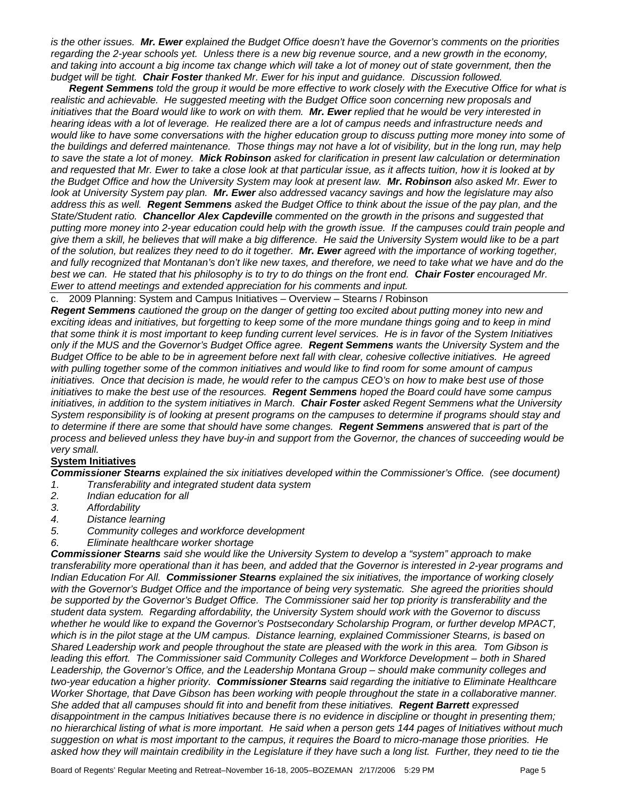*is the other issues. Mr. Ewer explained the Budget Office doesn't have the Governor's comments on the priorities regarding the 2-year schools yet. Unless there is a new big revenue source, and a new growth in the economy,*  and taking into account a big income tax change which will take a lot of money out of state government, then the *budget will be tight. Chair Foster thanked Mr. Ewer for his input and guidance. Discussion followed.* 

*Regent Semmens told the group it would be more effective to work closely with the Executive Office for what is realistic and achievable. He suggested meeting with the Budget Office soon concerning new proposals and initiatives that the Board would like to work on with them. Mr. Ewer replied that he would be very interested in hearing ideas with a lot of leverage. He realized there are a lot of campus needs and infrastructure needs and* would like to have some conversations with the higher education group to discuss putting more money into some of *the buildings and deferred maintenance. Those things may not have a lot of visibility, but in the long run, may help to save the state a lot of money. Mick Robinson asked for clarification in present law calculation or determination and requested that Mr. Ewer to take a close look at that particular issue, as it affects tuition, how it is looked at by the Budget Office and how the University System may look at present law. Mr. Robinson also asked Mr. Ewer to look at University System pay plan. Mr. Ewer also addressed vacancy savings and how the legislature may also address this as well. Regent Semmens asked the Budget Office to think about the issue of the pay plan, and the State/Student ratio. Chancellor Alex Capdeville commented on the growth in the prisons and suggested that putting more money into 2-year education could help with the growth issue. If the campuses could train people and give them a skill, he believes that will make a big difference. He said the University System would like to be a part of the solution, but realizes they need to do it together. Mr. Ewer agreed with the importance of working together,*  and fully recognized that Montanan's don't like new taxes, and therefore, we need to take what we have and do the *best we can. He stated that his philosophy is to try to do things on the front end. Chair Foster encouraged Mr. Ewer to attend meetings and extended appreciation for his comments and input.*

c. 2009 Planning: System and Campus Initiatives – Overview – Stearns / Robinson

*Regent Semmens cautioned the group on the danger of getting too excited about putting money into new and exciting ideas and initiatives, but forgetting to keep some of the more mundane things going and to keep in mind that some think it is most important to keep funding current level services. He is in favor of the System Initiatives only if the MUS and the Governor's Budget Office agree. Regent Semmens wants the University System and the Budget Office to be able to be in agreement before next fall with clear, cohesive collective initiatives. He agreed with pulling together some of the common initiatives and would like to find room for some amount of campus initiatives. Once that decision is made, he would refer to the campus CEO's on how to make best use of those initiatives to make the best use of the resources. Regent Semmens hoped the Board could have some campus initiatives, in addition to the system initiatives in March. Chair Foster asked Regent Semmens what the University System responsibility is of looking at present programs on the campuses to determine if programs should stay and to determine if there are some that should have some changes. Regent Semmens answered that is part of the process and believed unless they have buy-in and support from the Governor, the chances of succeeding would be very small.* 

## **System Initiatives**

*Commissioner Stearns explained the six initiatives developed within the Commissioner's Office. (see document)* 

- *1. Transferability and integrated student data system*
- *2. Indian education for all*
- *3. Affordability*
- *4. Distance learning*
- *5. Community colleges and workforce development*
- *6. Eliminate healthcare worker shortage*

*Commissioner Stearns said she would like the University System to develop a "system" approach to make transferability more operational than it has been, and added that the Governor is interested in 2-year programs and Indian Education For All. Commissioner Stearns explained the six initiatives, the importance of working closely with the Governor's Budget Office and the importance of being very systematic. She agreed the priorities should be supported by the Governor's Budget Office. The Commissioner said her top priority is transferability and the student data system. Regarding affordability, the University System should work with the Governor to discuss whether he would like to expand the Governor's Postsecondary Scholarship Program, or further develop MPACT, which is in the pilot stage at the UM campus. Distance learning, explained Commissioner Stearns, is based on Shared Leadership work and people throughout the state are pleased with the work in this area. Tom Gibson is leading this effort. The Commissioner said Community Colleges and Workforce Development – both in Shared Leadership, the Governor's Office, and the Leadership Montana Group – should make community colleges and two-year education a higher priority. Commissioner Stearns said regarding the initiative to Eliminate Healthcare Worker Shortage, that Dave Gibson has been working with people throughout the state in a collaborative manner. She added that all campuses should fit into and benefit from these initiatives. Regent Barrett expressed*  disappointment in the campus Initiatives because there is no evidence in discipline or thought in presenting them; *no hierarchical listing of what is more important. He said when a person gets 144 pages of Initiatives without much suggestion on what is most important to the campus, it requires the Board to micro-manage those priorities. He*  asked how they will maintain credibility in the Legislature if they have such a long list. Further, they need to tie the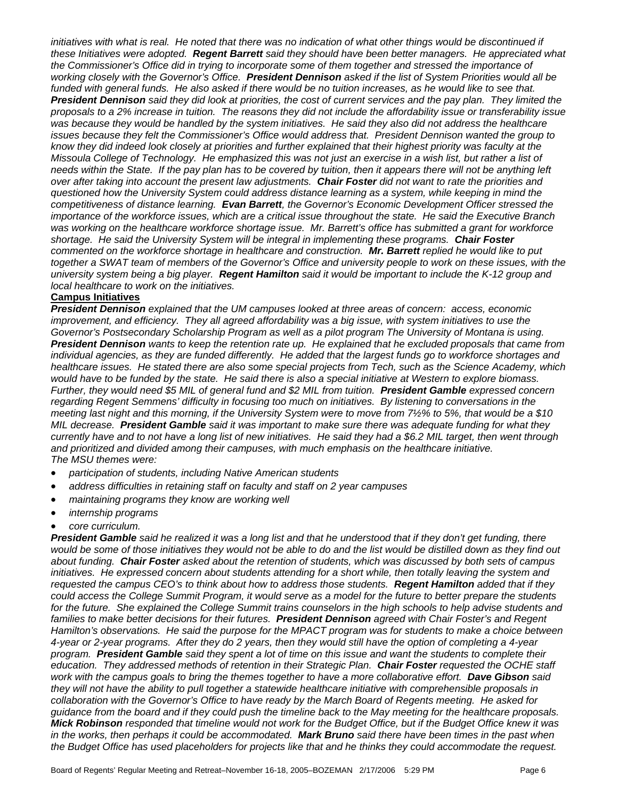initiatives with what is real. He noted that there was no indication of what other things would be discontinued if *these Initiatives were adopted. Regent Barrett said they should have been better managers. He appreciated what the Commissioner's Office did in trying to incorporate some of them together and stressed the importance of working closely with the Governor's Office. President Dennison asked if the list of System Priorities would all be funded with general funds. He also asked if there would be no tuition increases, as he would like to see that. President Dennison said they did look at priorities, the cost of current services and the pay plan. They limited the proposals to a 2% increase in tuition. The reasons they did not include the affordability issue or transferability issue was because they would be handled by the system initiatives. He said they also did not address the healthcare issues because they felt the Commissioner's Office would address that. President Dennison wanted the group to know they did indeed look closely at priorities and further explained that their highest priority was faculty at the Missoula College of Technology. He emphasized this was not just an exercise in a wish list, but rather a list of needs within the State. If the pay plan has to be covered by tuition, then it appears there will not be anything left over after taking into account the present law adjustments. Chair Foster did not want to rate the priorities and questioned how the University System could address distance learning as a system, while keeping in mind the competitiveness of distance learning. Evan Barrett, the Governor's Economic Development Officer stressed the importance of the workforce issues, which are a critical issue throughout the state. He said the Executive Branch was working on the healthcare workforce shortage issue. Mr. Barrett's office has submitted a grant for workforce shortage. He said the University System will be integral in implementing these programs. Chair Foster commented on the workforce shortage in healthcare and construction. Mr. Barrett replied he would like to put*  together a SWAT team of members of the Governor's Office and university people to work on these issues, with the *university system being a big player. Regent Hamilton said it would be important to include the K-12 group and local healthcare to work on the initiatives.* 

## **Campus Initiatives**

*President Dennison explained that the UM campuses looked at three areas of concern: access, economic improvement, and efficiency. They all agreed affordability was a big issue, with system initiatives to use the Governor's Postsecondary Scholarship Program as well as a pilot program The University of Montana is using. President Dennison wants to keep the retention rate up. He explained that he excluded proposals that came from individual agencies, as they are funded differently. He added that the largest funds go to workforce shortages and healthcare issues. He stated there are also some special projects from Tech, such as the Science Academy, which would have to be funded by the state. He said there is also a special initiative at Western to explore biomass. Further, they would need \$5 MIL of general fund and \$2 MIL from tuition. President Gamble expressed concern regarding Regent Semmens' difficulty in focusing too much on initiatives. By listening to conversations in the meeting last night and this morning, if the University System were to move from 7½% to 5%, that would be a \$10 MIL decrease. President Gamble said it was important to make sure there was adequate funding for what they currently have and to not have a long list of new initiatives. He said they had a \$6.2 MIL target, then went through and prioritized and divided among their campuses, with much emphasis on the healthcare initiative. The MSU themes were:* 

- *participation of students, including Native American students*
- *address difficulties in retaining staff on faculty and staff on 2 year campuses*
- *maintaining programs they know are working well*
- *internship programs*
- *core curriculum.*

*President Gamble said he realized it was a long list and that he understood that if they don't get funding, there*  would be some of those initiatives they would not be able to do and the list would be distilled down as they find out *about funding. Chair Foster asked about the retention of students, which was discussed by both sets of campus initiatives. He expressed concern about students attending for a short while, then totally leaving the system and requested the campus CEO's to think about how to address those students. Regent Hamilton added that if they could access the College Summit Program, it would serve as a model for the future to better prepare the students*  for the future. She explained the College Summit trains counselors in the high schools to help advise students and *families to make better decisions for their futures. President Dennison agreed with Chair Foster's and Regent Hamilton's observations. He said the purpose for the MPACT program was for students to make a choice between 4-year or 2-year programs. After they do 2 years, then they would still have the option of completing a 4-year program. President Gamble said they spent a lot of time on this issue and want the students to complete their education. They addressed methods of retention in their Strategic Plan. Chair Foster requested the OCHE staff work with the campus goals to bring the themes together to have a more collaborative effort. Dave Gibson said they will not have the ability to pull together a statewide healthcare initiative with comprehensible proposals in collaboration with the Governor's Office to have ready by the March Board of Regents meeting. He asked for guidance from the board and if they could push the timeline back to the May meeting for the healthcare proposals. Mick Robinson responded that timeline would not work for the Budget Office, but if the Budget Office knew it was in the works, then perhaps it could be accommodated. Mark Bruno said there have been times in the past when the Budget Office has used placeholders for projects like that and he thinks they could accommodate the request.*